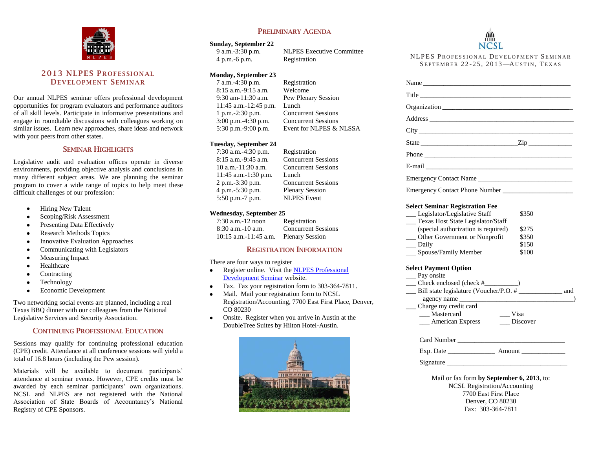

## **2013 NLPES PROFESSIONAL DEV EL OPM ENT SEMINAR**

Our annual NLPES seminar offers professional development opportunities for program evaluators and performance auditors of all skill levels. Participate in informative presentations and engage in roundtable discussions with colleagues working on similar issues. Learn new approaches, share ideas and network with your peers from other states.

#### **SEMINAR HIGHLIGHTS**

Legislative audit and evaluation offices operate in diverse environments, providing objective analysis and conclusions in many different subject areas. We are planning the seminar program to cover a wide range of topics to help meet these difficult challenges of our profession:

- Hiring New Talent  $\bullet$
- Scoping/Risk Assessment  $\bullet$
- Presenting Data Effectively  $\bullet$
- Research Methods Topics  $\bullet$
- $\bullet$ Innovative Evaluation Approaches
- Communicating with Legislators  $\bullet$
- Measuring Impact  $\bullet$
- Healthcare
- Contracting  $\bullet$
- Technology  $\bullet$
- Economic Development  $\bullet$

Two networking social events are planned, including a real Texas BBQ dinner with our colleagues from the National Legislative Services and Security Association.

## **CONTINUING PROFESSIONAL EDUCATION**

Sessions may qualify for continuing professional education (CPE) credit. Attendance at all conference sessions will yield a total of 16.8 hours (including the Pew session).

Materials will be available to document participants' attendance at seminar events. However, CPE credits must be awarded by each seminar participants' own organizations. NCSL and NLPES are not registered with the National Association of State Boards of Accountancy's National Registry of CPE Sponsors.

## **PRELIMINARY AGENDA**

# **Sunday, September 22**<br>9 a.m.-3:30 p.m.

4 p.m.-6 p.m. Registration

NLPES Executive Committee

#### **Monday, September 23**

7 a.m.-4:30 p.m. Registration 8:15 a.m.-9:15 a.m. Welcome 11:45 a.m.-12:45 p.m. Lunch

9:30 am-11:30 a.m. Pew Plenary Session 1 p.m.-2:30 p.m. Concurrent Sessions 3:00 p.m.-4:30 p.m. Concurrent Sessions 5:30 p.m.-9:00 p.m. Event for NLPES & NLSSA

#### **Tuesday, September 24**

7:30 a.m.-4:30 p.m. Registration 11:45 a.m.-1:30 p.m. Lunch 4 p.m.-5:30 p.m. Plenary Session 5:50 p.m.-7 p.m. NLPES Event

 $8:15$  a.m.  $-9:45$  a.m. Concurrent Sessions<br>10 a.m. Concurrent Sessions **Concurrent Sessions** 2 p.m.-3:30 p.m. Concurrent Sessions

#### **Wednesday, September 25**

| 7:30 a.m.-12 noon       | Registration               |
|-------------------------|----------------------------|
| 8:30 a.m. - 10 a.m.     | <b>Concurrent Sessions</b> |
| $10:15$ a.m.-11:45 a.m. | <b>Plenary Session</b>     |

#### **REGISTRATION INFORMATION**

There are four ways to register

- Register online. Visit th[e NLPES Professional](http://www.ncsl.org/legislative-staff/nlpes/2013-professional-development-overview.aspx)   $\bullet$ [Development Seminar](http://www.ncsl.org/legislative-staff/nlpes/2013-professional-development-overview.aspx) website.
- Fax. Fax your registration form to 303-364-7811.
- Mail. Mail your registration form to NCSL Registration/Accounting, 7700 East First Place, Denver, CO 80230
- Onsite. Register when you arrive in Austin at the DoubleTree Suites by Hilton Hotel-Austin.



NCSL

NLPES PROFESSIONAL DEVELOPMENT SEMINAR SEPTEMBER 22-25, 2013-AUSTIN, TEXAS

| Name                                                                                                                                                                                                                                                                                                                                                                   |                                           |
|------------------------------------------------------------------------------------------------------------------------------------------------------------------------------------------------------------------------------------------------------------------------------------------------------------------------------------------------------------------------|-------------------------------------------|
| Title <b>The Community of the Community</b> of the Community of the Community of the Community of the Community of the Community of the Community of the Community of the Community of the Community of the Community of the Commun                                                                                                                                    |                                           |
| Organization                                                                                                                                                                                                                                                                                                                                                           |                                           |
| Address and the state of the state of the state of the state of the state of the state of the state of the state of the state of the state of the state of the state of the state of the state of the state of the state of th                                                                                                                                         |                                           |
|                                                                                                                                                                                                                                                                                                                                                                        |                                           |
| State $\frac{Zip}{p}$                                                                                                                                                                                                                                                                                                                                                  |                                           |
|                                                                                                                                                                                                                                                                                                                                                                        |                                           |
|                                                                                                                                                                                                                                                                                                                                                                        |                                           |
| Emergency Contact Name                                                                                                                                                                                                                                                                                                                                                 |                                           |
|                                                                                                                                                                                                                                                                                                                                                                        |                                           |
| <b>Select Seminar Registration Fee</b><br>__ Legislator/Legislative Staff<br>__ Texas Host State Legislator/Staff<br>(special authorization is required)<br>__ Other Government or Nonprofit<br>__ Daily<br>__ Spouse/Family Member<br><b>Select Payment Option</b><br>__ Pay onsite<br>agency name<br>__ Charge my credit card<br>__ Mastercard<br>$\frac{1}{2}$ Visa | \$350<br>\$275<br>\$350<br>\$150<br>\$100 |
| __ American Express                                                                                                                                                                                                                                                                                                                                                    | __ Discover                               |
|                                                                                                                                                                                                                                                                                                                                                                        |                                           |
|                                                                                                                                                                                                                                                                                                                                                                        |                                           |
| Signature                                                                                                                                                                                                                                                                                                                                                              |                                           |
| Mail or fax form by September 6, 2013, to:<br><b>NCSL Registration/Accounting</b><br>7700 East First Place<br>Denver, CO 80230                                                                                                                                                                                                                                         |                                           |

Fax: 303-364-7811